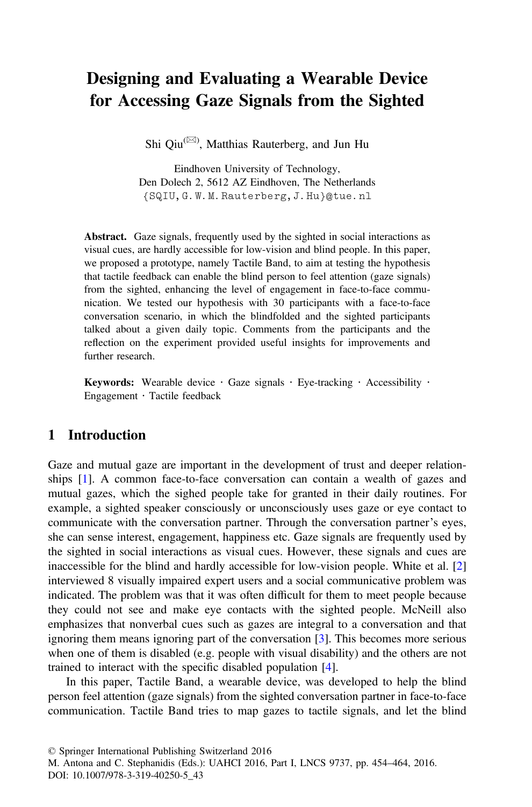# Designing and Evaluating a Wearable Device for Accessing Gaze Signals from the Sighted

Shi Qiu<sup>(X)</sup>, Matthias Rauterberg, and Jun Hu

Eindhoven University of Technology, Den Dolech 2, 5612 AZ Eindhoven, The Netherlands {SQIU.G.W.M.Rauterberg.J.Hu}@tue.nl  $\begin{array}{cc} S_{\text{S}} & S_{\text{S}} \\ S_{\text{S}} & S_{\text{S}} \end{array}$ 

Abstract. Gaze signals, frequently used by the sighted in social interactions as visual cues, are hardly accessible for low-vision and blind people. In this paper, we proposed a prototype, namely Tactile Band, to aim at testing the hypothesis that tactile feedback can enable the blind person to feel attention (gaze signals) from the sighted, enhancing the level of engagement in face-to-face communication. We tested our hypothesis with 30 participants with a face-to-face conversation scenario, in which the blindfolded and the sighted participants talked about a given daily topic. Comments from the participants and the reflection on the experiment provided useful insights for improvements and further research.

**Keywords:** Wearable device  $\cdot$  Gaze signals  $\cdot$  Eye-tracking  $\cdot$  Accessibility  $\cdot$  Engagement  $\cdot$  Tactile feedback

## 1 Introduction

Gaze and mutual gaze are important in the development of trust and deeper relationships [[1\]](#page-9-0). A common face-to-face conversation can contain a wealth of gazes and mutual gazes, which the sighed people take for granted in their daily routines. For example, a sighted speaker consciously or unconsciously uses gaze or eye contact to communicate with the conversation partner. Through the conversation partner's eyes, she can sense interest, engagement, happiness etc. Gaze signals are frequently used by the sighted in social interactions as visual cues. However, these signals and cues are inaccessible for the blind and hardly accessible for low-vision people. White et al. [\[2](#page-9-0)] interviewed 8 visually impaired expert users and a social communicative problem was indicated. The problem was that it was often difficult for them to meet people because they could not see and make eye contacts with the sighted people. McNeill also emphasizes that nonverbal cues such as gazes are integral to a conversation and that ignoring them means ignoring part of the conversation [\[3](#page-9-0)]. This becomes more serious when one of them is disabled (e.g. people with visual disability) and the others are not trained to interact with the specific disabled population [\[4](#page-9-0)].

In this paper, Tactile Band, a wearable device, was developed to help the blind person feel attention (gaze signals) from the sighted conversation partner in face-to-face communication. Tactile Band tries to map gazes to tactile signals, and let the blind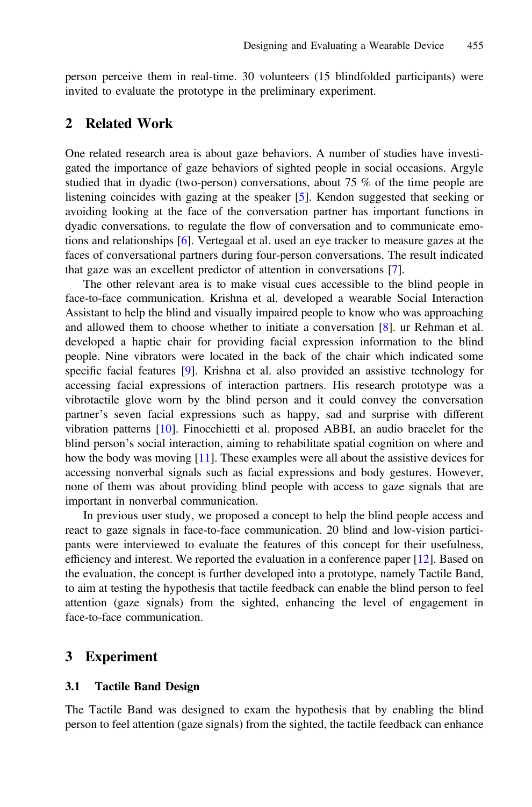person perceive them in real-time. 30 volunteers (15 blindfolded participants) were invited to evaluate the prototype in the preliminary experiment.

## 2 Related Work

One related research area is about gaze behaviors. A number of studies have investigated the importance of gaze behaviors of sighted people in social occasions. Argyle studied that in dyadic (two-person) conversations, about 75 % of the time people are listening coincides with gazing at the speaker [[5\]](#page-9-0). Kendon suggested that seeking or avoiding looking at the face of the conversation partner has important functions in dyadic conversations, to regulate the flow of conversation and to communicate emotions and relationships [[6\]](#page-9-0). Vertegaal et al. used an eye tracker to measure gazes at the faces of conversational partners during four-person conversations. The result indicated that gaze was an excellent predictor of attention in conversations [[7\]](#page-9-0).

The other relevant area is to make visual cues accessible to the blind people in face-to-face communication. Krishna et al. developed a wearable Social Interaction Assistant to help the blind and visually impaired people to know who was approaching and allowed them to choose whether to initiate a conversation [\[8](#page-9-0)]. ur Rehman et al. developed a haptic chair for providing facial expression information to the blind people. Nine vibrators were located in the back of the chair which indicated some specific facial features [[9\]](#page-9-0). Krishna et al. also provided an assistive technology for accessing facial expressions of interaction partners. His research prototype was a vibrotactile glove worn by the blind person and it could convey the conversation partner's seven facial expressions such as happy, sad and surprise with different vibration patterns [[10\]](#page-9-0). Finocchietti et al. proposed ABBI, an audio bracelet for the blind person's social interaction, aiming to rehabilitate spatial cognition on where and how the body was moving [[11\]](#page-9-0). These examples were all about the assistive devices for accessing nonverbal signals such as facial expressions and body gestures. However, none of them was about providing blind people with access to gaze signals that are important in nonverbal communication.

In previous user study, we proposed a concept to help the blind people access and react to gaze signals in face-to-face communication. 20 blind and low-vision participants were interviewed to evaluate the features of this concept for their usefulness, efficiency and interest. We reported the evaluation in a conference paper [[12\]](#page-10-0). Based on the evaluation, the concept is further developed into a prototype, namely Tactile Band, to aim at testing the hypothesis that tactile feedback can enable the blind person to feel attention (gaze signals) from the sighted, enhancing the level of engagement in face-to-face communication.

## 3 Experiment

#### 3.1 Tactile Band Design

The Tactile Band was designed to exam the hypothesis that by enabling the blind person to feel attention (gaze signals) from the sighted, the tactile feedback can enhance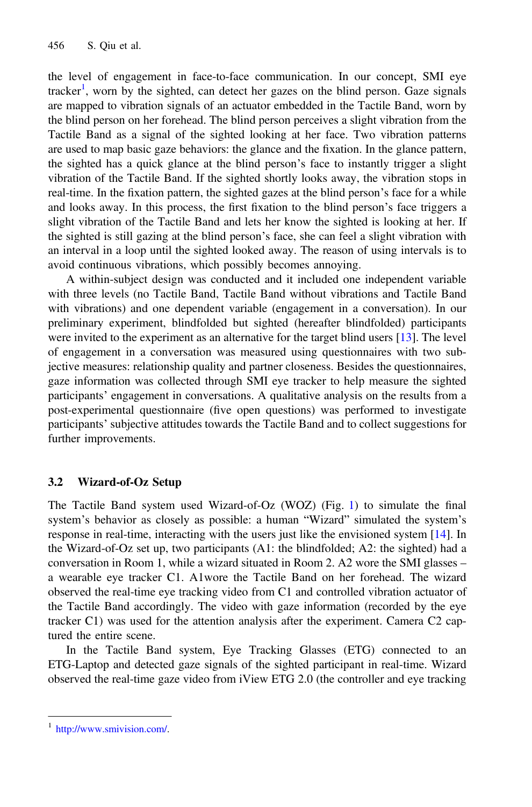the level of engagement in face-to-face communication. In our concept, SMI eye tracker<sup>1</sup>, worn by the sighted, can detect her gazes on the blind person. Gaze signals are mapped to vibration signals of an actuator embedded in the Tactile Band, worn by the blind person on her forehead. The blind person perceives a slight vibration from the Tactile Band as a signal of the sighted looking at her face. Two vibration patterns are used to map basic gaze behaviors: the glance and the fixation. In the glance pattern, the sighted has a quick glance at the blind person's face to instantly trigger a slight vibration of the Tactile Band. If the sighted shortly looks away, the vibration stops in real-time. In the fixation pattern, the sighted gazes at the blind person's face for a while and looks away. In this process, the first fixation to the blind person's face triggers a slight vibration of the Tactile Band and lets her know the sighted is looking at her. If the sighted is still gazing at the blind person's face, she can feel a slight vibration with an interval in a loop until the sighted looked away. The reason of using intervals is to avoid continuous vibrations, which possibly becomes annoying.

A within-subject design was conducted and it included one independent variable with three levels (no Tactile Band, Tactile Band without vibrations and Tactile Band with vibrations) and one dependent variable (engagement in a conversation). In our preliminary experiment, blindfolded but sighted (hereafter blindfolded) participants were invited to the experiment as an alternative for the target blind users [\[13](#page-10-0)]. The level of engagement in a conversation was measured using questionnaires with two subjective measures: relationship quality and partner closeness. Besides the questionnaires, gaze information was collected through SMI eye tracker to help measure the sighted participants' engagement in conversations. A qualitative analysis on the results from a post-experimental questionnaire (five open questions) was performed to investigate participants' subjective attitudes towards the Tactile Band and to collect suggestions for further improvements.

## 3.2 Wizard-of-Oz Setup

The Tactile Band system used Wizard-of-Oz (WOZ) (Fig. [1\)](#page-3-0) to simulate the final system's behavior as closely as possible: a human "Wizard" simulated the system's response in real-time, interacting with the users just like the envisioned system [[14\]](#page-10-0). In the Wizard-of-Oz set up, two participants (A1: the blindfolded; A2: the sighted) had a conversation in Room 1, while a wizard situated in Room 2. A2 wore the SMI glasses – a wearable eye tracker C1. A1wore the Tactile Band on her forehead. The wizard observed the real-time eye tracking video from C1 and controlled vibration actuator of the Tactile Band accordingly. The video with gaze information (recorded by the eye tracker C1) was used for the attention analysis after the experiment. Camera C2 captured the entire scene.

In the Tactile Band system, Eye Tracking Glasses (ETG) connected to an ETG-Laptop and detected gaze signals of the sighted participant in real-time. Wizard observed the real-time gaze video from iView ETG 2.0 (the controller and eye tracking

<sup>1</sup> <http://www.smivision.com/>.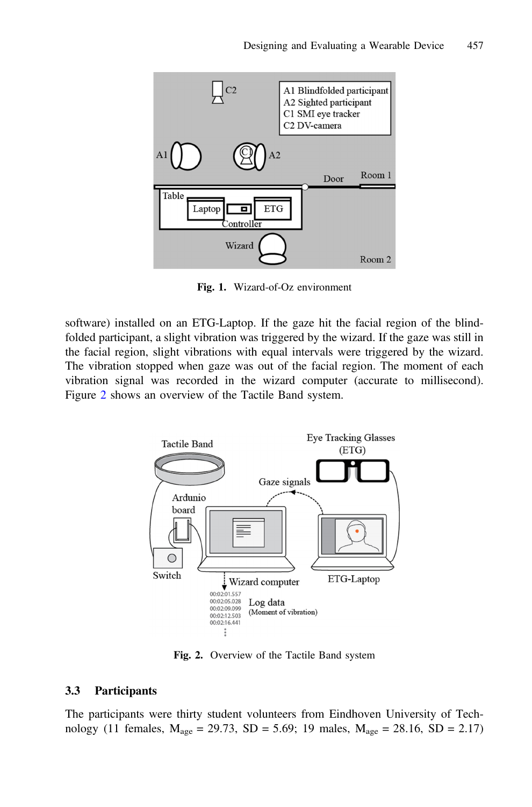<span id="page-3-0"></span>

Fig. 1. Wizard-of-Oz environment

software) installed on an ETG-Laptop. If the gaze hit the facial region of the blindfolded participant, a slight vibration was triggered by the wizard. If the gaze was still in the facial region, slight vibrations with equal intervals were triggered by the wizard. The vibration stopped when gaze was out of the facial region. The moment of each vibration signal was recorded in the wizard computer (accurate to millisecond). Figure 2 shows an overview of the Tactile Band system.



Fig. 2. Overview of the Tactile Band system

## 3.3 Participants

The participants were thirty student volunteers from Eindhoven University of Technology (11 females,  $M_{\text{age}} = 29.73$ , SD = 5.69; 19 males,  $M_{\text{age}} = 28.16$ , SD = 2.17)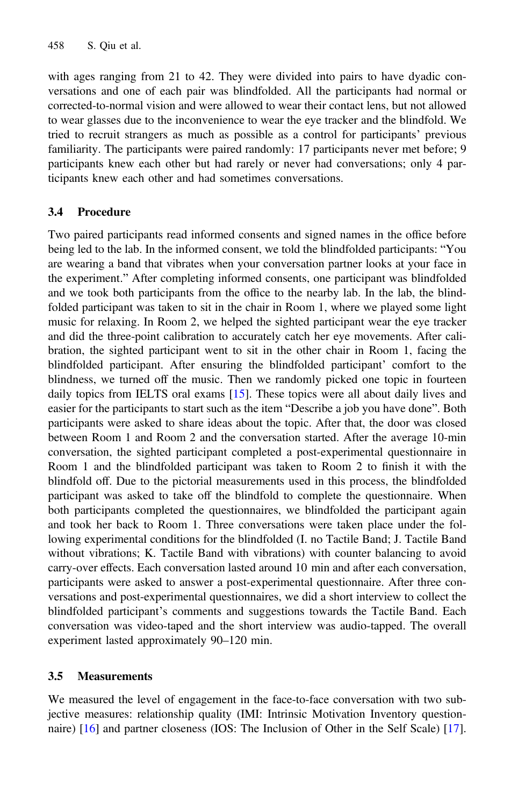with ages ranging from 21 to 42. They were divided into pairs to have dyadic conversations and one of each pair was blindfolded. All the participants had normal or corrected-to-normal vision and were allowed to wear their contact lens, but not allowed to wear glasses due to the inconvenience to wear the eye tracker and the blindfold. We tried to recruit strangers as much as possible as a control for participants' previous familiarity. The participants were paired randomly: 17 participants never met before; 9 participants knew each other but had rarely or never had conversations; only 4 participants knew each other and had sometimes conversations.

## 3.4 Procedure

Two paired participants read informed consents and signed names in the office before being led to the lab. In the informed consent, we told the blindfolded participants: "You are wearing a band that vibrates when your conversation partner looks at your face in the experiment." After completing informed consents, one participant was blindfolded and we took both participants from the office to the nearby lab. In the lab, the blindfolded participant was taken to sit in the chair in Room 1, where we played some light music for relaxing. In Room 2, we helped the sighted participant wear the eye tracker and did the three-point calibration to accurately catch her eye movements. After calibration, the sighted participant went to sit in the other chair in Room 1, facing the blindfolded participant. After ensuring the blindfolded participant' comfort to the blindness, we turned off the music. Then we randomly picked one topic in fourteen daily topics from IELTS oral exams [[15\]](#page-10-0). These topics were all about daily lives and easier for the participants to start such as the item "Describe a job you have done". Both participants were asked to share ideas about the topic. After that, the door was closed between Room 1 and Room 2 and the conversation started. After the average 10-min conversation, the sighted participant completed a post-experimental questionnaire in Room 1 and the blindfolded participant was taken to Room 2 to finish it with the blindfold off. Due to the pictorial measurements used in this process, the blindfolded participant was asked to take off the blindfold to complete the questionnaire. When both participants completed the questionnaires, we blindfolded the participant again and took her back to Room 1. Three conversations were taken place under the following experimental conditions for the blindfolded (I. no Tactile Band; J. Tactile Band without vibrations; K. Tactile Band with vibrations) with counter balancing to avoid carry-over effects. Each conversation lasted around 10 min and after each conversation, participants were asked to answer a post-experimental questionnaire. After three conversations and post-experimental questionnaires, we did a short interview to collect the blindfolded participant's comments and suggestions towards the Tactile Band. Each conversation was video-taped and the short interview was audio-tapped. The overall experiment lasted approximately 90–120 min.

## 3.5 Measurements

We measured the level of engagement in the face-to-face conversation with two subjective measures: relationship quality (IMI: Intrinsic Motivation Inventory questionnaire) [[16\]](#page-10-0) and partner closeness (IOS: The Inclusion of Other in the Self Scale) [[17\]](#page-10-0).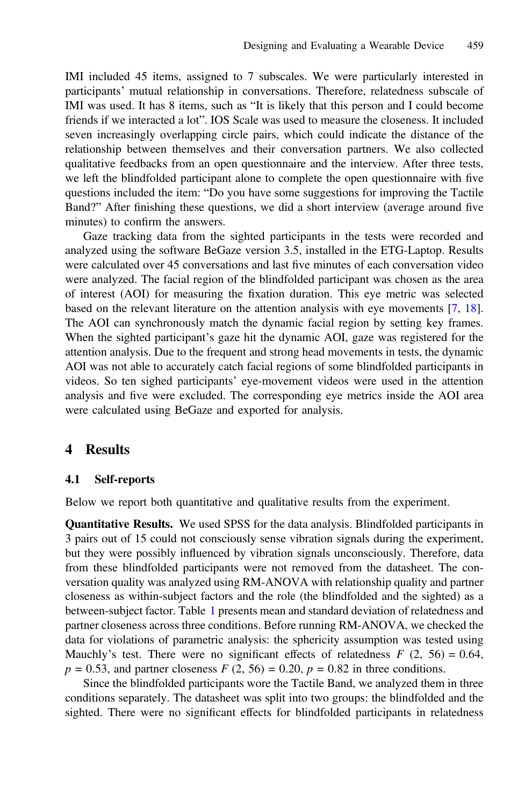IMI included 45 items, assigned to 7 subscales. We were particularly interested in participants' mutual relationship in conversations. Therefore, relatedness subscale of IMI was used. It has 8 items, such as "It is likely that this person and I could become friends if we interacted a lot". IOS Scale was used to measure the closeness. It included seven increasingly overlapping circle pairs, which could indicate the distance of the relationship between themselves and their conversation partners. We also collected qualitative feedbacks from an open questionnaire and the interview. After three tests, we left the blindfolded participant alone to complete the open questionnaire with five questions included the item: "Do you have some suggestions for improving the Tactile Band?" After finishing these questions, we did a short interview (average around five minutes) to confirm the answers.

Gaze tracking data from the sighted participants in the tests were recorded and analyzed using the software BeGaze version 3.5, installed in the ETG-Laptop. Results were calculated over 45 conversations and last five minutes of each conversation video were analyzed. The facial region of the blindfolded participant was chosen as the area of interest (AOI) for measuring the fixation duration. This eye metric was selected based on the relevant literature on the attention analysis with eye movements [\[7](#page-9-0), [18\]](#page-10-0). The AOI can synchronously match the dynamic facial region by setting key frames. When the sighted participant's gaze hit the dynamic AOI, gaze was registered for the attention analysis. Due to the frequent and strong head movements in tests, the dynamic AOI was not able to accurately catch facial regions of some blindfolded participants in videos. So ten sighed participants' eye-movement videos were used in the attention analysis and five were excluded. The corresponding eye metrics inside the AOI area were calculated using BeGaze and exported for analysis.

# 4 Results

#### 4.1 Self-reports

Below we report both quantitative and qualitative results from the experiment.

Quantitative Results. We used SPSS for the data analysis. Blindfolded participants in 3 pairs out of 15 could not consciously sense vibration signals during the experiment, but they were possibly influenced by vibration signals unconsciously. Therefore, data from these blindfolded participants were not removed from the datasheet. The conversation quality was analyzed using RM-ANOVA with relationship quality and partner closeness as within-subject factors and the role (the blindfolded and the sighted) as a between-subject factor. Table [1](#page-6-0) presents mean and standard deviation of relatedness and partner closeness across three conditions. Before running RM-ANOVA, we checked the data for violations of parametric analysis: the sphericity assumption was tested using Mauchly's test. There were no significant effects of relatedness  $F(2, 56) = 0.64$ ,  $p = 0.53$ , and partner closeness  $F(2, 56) = 0.20$ ,  $p = 0.82$  in three conditions.

Since the blindfolded participants wore the Tactile Band, we analyzed them in three conditions separately. The datasheet was split into two groups: the blindfolded and the sighted. There were no significant effects for blindfolded participants in relatedness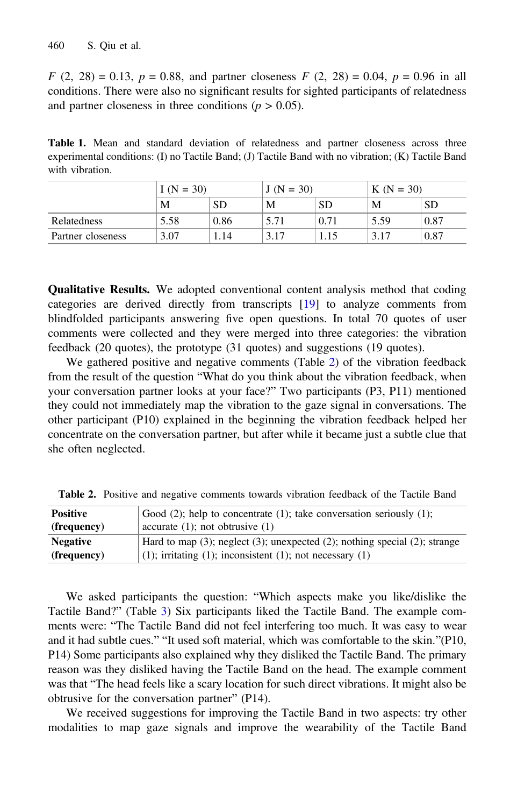<span id="page-6-0"></span> $F(2, 28) = 0.13$ ,  $p = 0.88$ , and partner closeness  $F(2, 28) = 0.04$ ,  $p = 0.96$  in all conditions. There were also no significant results for sighted participants of relatedness and partner closeness in three conditions ( $p > 0.05$ ).

Table 1. Mean and standard deviation of relatedness and partner closeness across three experimental conditions: (I) no Tactile Band; (J) Tactile Band with no vibration; (K) Tactile Band with vibration.

|                   | $I(N = 30)$ |           | $(N = 30)$ |           | $K(N = 30)$ |           |
|-------------------|-------------|-----------|------------|-----------|-------------|-----------|
|                   | M           | <b>SD</b> | м          | <b>SD</b> | M           | <b>SD</b> |
| Relatedness       | 5.58        | 0.86      | 5.71       | 0.71      | 5.59        | 0.87      |
| Partner closeness | 3.07        | . . 14    | 3.17       |           | 3.17        | 0.87      |

Qualitative Results. We adopted conventional content analysis method that coding categories are derived directly from transcripts [[19\]](#page-10-0) to analyze comments from blindfolded participants answering five open questions. In total 70 quotes of user comments were collected and they were merged into three categories: the vibration feedback (20 quotes), the prototype (31 quotes) and suggestions (19 quotes).

We gathered positive and negative comments (Table 2) of the vibration feedback from the result of the question "What do you think about the vibration feedback, when your conversation partner looks at your face?" Two participants (P3, P11) mentioned they could not immediately map the vibration to the gaze signal in conversations. The other participant (P10) explained in the beginning the vibration feedback helped her concentrate on the conversation partner, but after while it became just a subtle clue that she often neglected.

| <b>Positive</b> | Good (2); help to concentrate (1); take conversation seriously (1);                    |
|-----------------|----------------------------------------------------------------------------------------|
| (frequency)     | accurate $(1)$ ; not obtrusive $(1)$                                                   |
| <b>Negative</b> | Hard to map $(3)$ ; neglect $(3)$ ; unexpected $(2)$ ; nothing special $(2)$ ; strange |
| (frequency)     | $(1)$ ; irritating (1); inconsistent (1); not necessary (1)                            |

Table 2. Positive and negative comments towards vibration feedback of the Tactile Band

We asked participants the question: "Which aspects make you like/dislike the Tactile Band?" (Table [3](#page-7-0)) Six participants liked the Tactile Band. The example comments were: "The Tactile Band did not feel interfering too much. It was easy to wear and it had subtle cues." "It used soft material, which was comfortable to the skin."(P10, P14) Some participants also explained why they disliked the Tactile Band. The primary reason was they disliked having the Tactile Band on the head. The example comment was that "The head feels like a scary location for such direct vibrations. It might also be obtrusive for the conversation partner" (P14).

We received suggestions for improving the Tactile Band in two aspects: try other modalities to map gaze signals and improve the wearability of the Tactile Band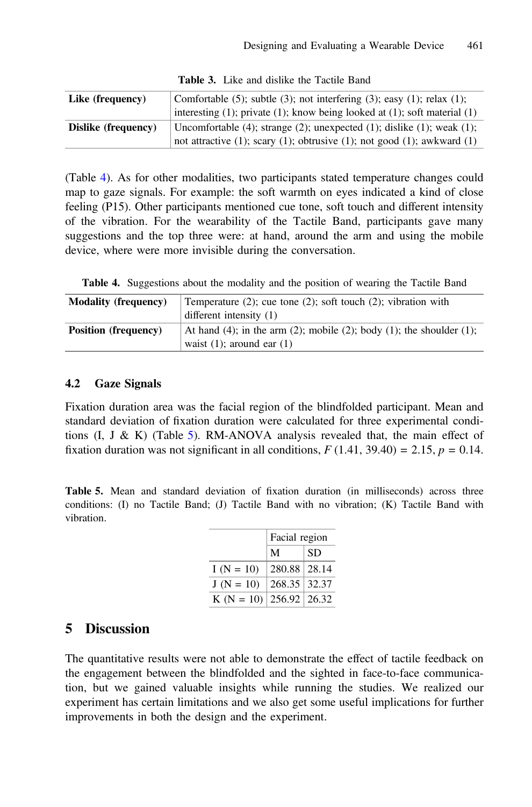<span id="page-7-0"></span>

| Like (frequency)    | Comfortable (5); subtle (3); not interfering (3); easy (1); relax (1);<br>interesting (1); private (1); know being looked at (1); soft material (1)             |  |
|---------------------|-----------------------------------------------------------------------------------------------------------------------------------------------------------------|--|
| Dislike (frequency) | Uncomfortable (4); strange (2); unexpected (1); dislike (1); weak (1);<br>not attractive $(1)$ ; scary $(1)$ ; obtrusive $(1)$ ; not good $(1)$ ; awkward $(1)$ |  |

Table 3. Like and dislike the Tactile Band

(Table 4). As for other modalities, two participants stated temperature changes could map to gaze signals. For example: the soft warmth on eyes indicated a kind of close feeling (P15). Other participants mentioned cue tone, soft touch and different intensity of the vibration. For the wearability of the Tactile Band, participants gave many suggestions and the top three were: at hand, around the arm and using the mobile device, where were more invisible during the conversation.

Table 4. Suggestions about the modality and the position of wearing the Tactile Band

| <b>Modality (frequency)</b> | Temperature $(2)$ ; cue tone $(2)$ ; soft touch $(2)$ ; vibration with<br>different intensity $(1)$    |  |
|-----------------------------|--------------------------------------------------------------------------------------------------------|--|
| <b>Position (frequency)</b> | At hand (4); in the arm (2); mobile (2); body (1); the shoulder (1);<br>waist $(1)$ ; around ear $(1)$ |  |

#### 4.2 Gaze Signals

Fixation duration area was the facial region of the blindfolded participant. Mean and standard deviation of fixation duration were calculated for three experimental conditions  $(I, J, \& K)$  (Table 5). RM-ANOVA analysis revealed that, the main effect of fixation duration was not significant in all conditions,  $F(1.41, 39.40) = 2.15$ ,  $p = 0.14$ .

Table 5. Mean and standard deviation of fixation duration (in milliseconds) across three conditions: (I) no Tactile Band; (J) Tactile Band with no vibration; (K) Tactile Band with vibration.

|                             | Facial region |           |
|-----------------------------|---------------|-----------|
|                             | M             | <b>SD</b> |
| $I(N = 10)$                 | 280.88 28.14  |           |
| $J(N = 10)$                 | 268.35 32.37  |           |
| K (N = 10)   256.92   26.32 |               |           |

# 5 Discussion

The quantitative results were not able to demonstrate the effect of tactile feedback on the engagement between the blindfolded and the sighted in face-to-face communication, but we gained valuable insights while running the studies. We realized our experiment has certain limitations and we also get some useful implications for further improvements in both the design and the experiment.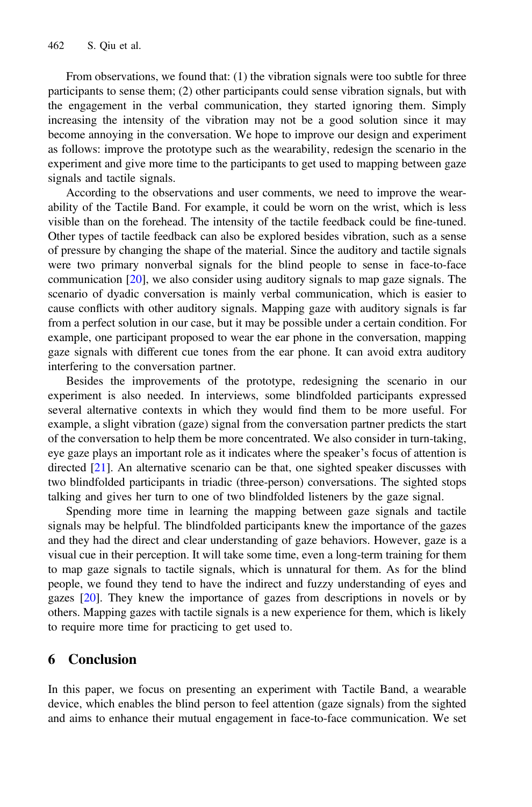From observations, we found that: (1) the vibration signals were too subtle for three participants to sense them; (2) other participants could sense vibration signals, but with the engagement in the verbal communication, they started ignoring them. Simply increasing the intensity of the vibration may not be a good solution since it may become annoying in the conversation. We hope to improve our design and experiment as follows: improve the prototype such as the wearability, redesign the scenario in the experiment and give more time to the participants to get used to mapping between gaze signals and tactile signals.

According to the observations and user comments, we need to improve the wearability of the Tactile Band. For example, it could be worn on the wrist, which is less visible than on the forehead. The intensity of the tactile feedback could be fine-tuned. Other types of tactile feedback can also be explored besides vibration, such as a sense of pressure by changing the shape of the material. Since the auditory and tactile signals were two primary nonverbal signals for the blind people to sense in face-to-face communication [\[20](#page-10-0)], we also consider using auditory signals to map gaze signals. The scenario of dyadic conversation is mainly verbal communication, which is easier to cause conflicts with other auditory signals. Mapping gaze with auditory signals is far from a perfect solution in our case, but it may be possible under a certain condition. For example, one participant proposed to wear the ear phone in the conversation, mapping gaze signals with different cue tones from the ear phone. It can avoid extra auditory interfering to the conversation partner.

Besides the improvements of the prototype, redesigning the scenario in our experiment is also needed. In interviews, some blindfolded participants expressed several alternative contexts in which they would find them to be more useful. For example, a slight vibration (gaze) signal from the conversation partner predicts the start of the conversation to help them be more concentrated. We also consider in turn-taking, eye gaze plays an important role as it indicates where the speaker's focus of attention is directed [[21\]](#page-10-0). An alternative scenario can be that, one sighted speaker discusses with two blindfolded participants in triadic (three-person) conversations. The sighted stops talking and gives her turn to one of two blindfolded listeners by the gaze signal.

Spending more time in learning the mapping between gaze signals and tactile signals may be helpful. The blindfolded participants knew the importance of the gazes and they had the direct and clear understanding of gaze behaviors. However, gaze is a visual cue in their perception. It will take some time, even a long-term training for them to map gaze signals to tactile signals, which is unnatural for them. As for the blind people, we found they tend to have the indirect and fuzzy understanding of eyes and gazes [\[20](#page-10-0)]. They knew the importance of gazes from descriptions in novels or by others. Mapping gazes with tactile signals is a new experience for them, which is likely to require more time for practicing to get used to.

# 6 Conclusion

In this paper, we focus on presenting an experiment with Tactile Band, a wearable device, which enables the blind person to feel attention (gaze signals) from the sighted and aims to enhance their mutual engagement in face-to-face communication. We set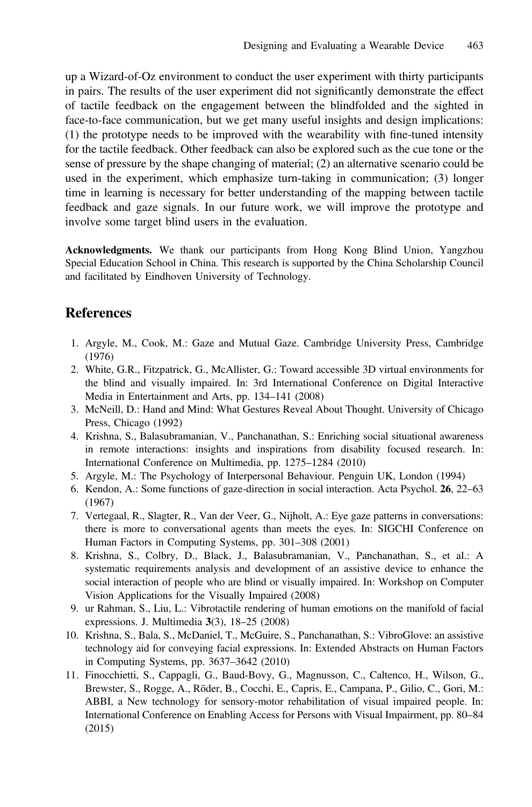<span id="page-9-0"></span>up a Wizard-of-Oz environment to conduct the user experiment with thirty participants in pairs. The results of the user experiment did not significantly demonstrate the effect of tactile feedback on the engagement between the blindfolded and the sighted in face-to-face communication, but we get many useful insights and design implications: (1) the prototype needs to be improved with the wearability with fine-tuned intensity for the tactile feedback. Other feedback can also be explored such as the cue tone or the sense of pressure by the shape changing of material; (2) an alternative scenario could be used in the experiment, which emphasize turn-taking in communication; (3) longer time in learning is necessary for better understanding of the mapping between tactile feedback and gaze signals. In our future work, we will improve the prototype and involve some target blind users in the evaluation.

Acknowledgments. We thank our participants from Hong Kong Blind Union, Yangzhou Special Education School in China. This research is supported by the China Scholarship Council and facilitated by Eindhoven University of Technology.

# **References**

- 1. Argyle, M., Cook, M.: Gaze and Mutual Gaze. Cambridge University Press, Cambridge (1976)
- 2. White, G.R., Fitzpatrick, G., McAllister, G.: Toward accessible 3D virtual environments for the blind and visually impaired. In: 3rd International Conference on Digital Interactive Media in Entertainment and Arts, pp. 134–141 (2008)
- 3. McNeill, D.: Hand and Mind: What Gestures Reveal About Thought. University of Chicago Press, Chicago (1992)
- 4. Krishna, S., Balasubramanian, V., Panchanathan, S.: Enriching social situational awareness in remote interactions: insights and inspirations from disability focused research. In: International Conference on Multimedia, pp. 1275–1284 (2010)
- 5. Argyle, M.: The Psychology of Interpersonal Behaviour. Penguin UK, London (1994)
- 6. Kendon, A.: Some functions of gaze-direction in social interaction. Acta Psychol. 26, 22–63 (1967)
- 7. Vertegaal, R., Slagter, R., Van der Veer, G., Nijholt, A.: Eye gaze patterns in conversations: there is more to conversational agents than meets the eyes. In: SIGCHI Conference on Human Factors in Computing Systems, pp. 301–308 (2001)
- 8. Krishna, S., Colbry, D., Black, J., Balasubramanian, V., Panchanathan, S., et al.: A systematic requirements analysis and development of an assistive device to enhance the social interaction of people who are blind or visually impaired. In: Workshop on Computer Vision Applications for the Visually Impaired (2008)
- 9. ur Rahman, S., Liu, L.: Vibrotactile rendering of human emotions on the manifold of facial expressions. J. Multimedia 3(3), 18–25 (2008)
- 10. Krishna, S., Bala, S., McDaniel, T., McGuire, S., Panchanathan, S.: VibroGlove: an assistive technology aid for conveying facial expressions. In: Extended Abstracts on Human Factors in Computing Systems, pp. 3637–3642 (2010)
- 11. Finocchietti, S., Cappagli, G., Baud-Bovy, G., Magnusson, C., Caltenco, H., Wilson, G., Brewster, S., Rogge, A., Röder, B., Cocchi, E., Capris, E., Campana, P., Gilio, C., Gori, M.: ABBI, a New technology for sensory-motor rehabilitation of visual impaired people. In: International Conference on Enabling Access for Persons with Visual Impairment, pp. 80–84 (2015)